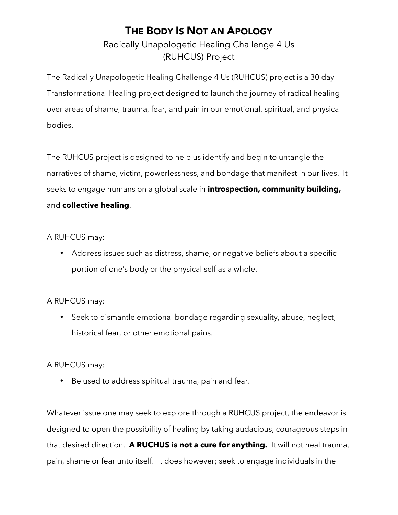## THE BODY IS NOT AN APOLOGY

Radically Unapologetic Healing Challenge 4 Us (RUHCUS) Project

The Radically Unapologetic Healing Challenge 4 Us (RUHCUS) project is a 30 day Transformational Healing project designed to launch the journey of radical healing over areas of shame, trauma, fear, and pain in our emotional, spiritual, and physical bodies.

The RUHCUS project is designed to help us identify and begin to untangle the narratives of shame, victim, powerlessness, and bondage that manifest in our lives. It seeks to engage humans on a global scale in **introspection, community building,** and **collective healing**.

#### A RUHCUS may:

• Address issues such as distress, shame, or negative beliefs about a specific portion of one's body or the physical self as a whole.

#### A RUHCUS may:

• Seek to dismantle emotional bondage regarding sexuality, abuse, neglect, historical fear, or other emotional pains.

#### A RUHCUS may:

• Be used to address spiritual trauma, pain and fear.

Whatever issue one may seek to explore through a RUHCUS project, the endeavor is designed to open the possibility of healing by taking audacious, courageous steps in that desired direction. **A RUCHUS is not a cure for anything.** It will not heal trauma, pain, shame or fear unto itself. It does however; seek to engage individuals in the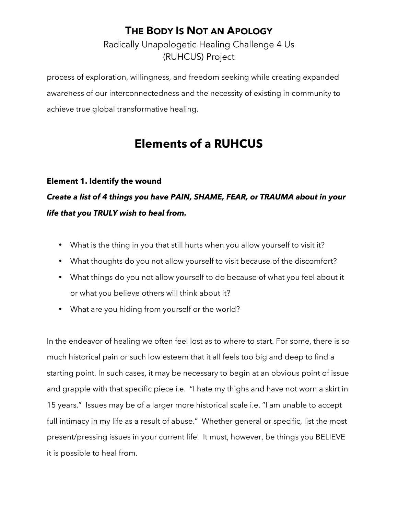### THE BODY IS NOT AN APOLOGY

Radically Unapologetic Healing Challenge 4 Us (RUHCUS) Project

process of exploration, willingness, and freedom seeking while creating expanded awareness of our interconnectedness and the necessity of existing in community to achieve true global transformative healing.

# **Elements of a RUHCUS**

#### **Element 1. Identify the wound**

*Create a list of 4 things you have PAIN, SHAME, FEAR, or TRAUMA about in your life that you TRULY wish to heal from.*

- What is the thing in you that still hurts when you allow yourself to visit it?
- What thoughts do you not allow yourself to visit because of the discomfort?
- What things do you not allow yourself to do because of what you feel about it or what you believe others will think about it?
- What are you hiding from yourself or the world?

In the endeavor of healing we often feel lost as to where to start. For some, there is so much historical pain or such low esteem that it all feels too big and deep to find a starting point. In such cases, it may be necessary to begin at an obvious point of issue and grapple with that specific piece i.e. "I hate my thighs and have not worn a skirt in 15 years." Issues may be of a larger more historical scale i.e. "I am unable to accept full intimacy in my life as a result of abuse." Whether general or specific, list the most present/pressing issues in your current life. It must, however, be things you BELIEVE it is possible to heal from.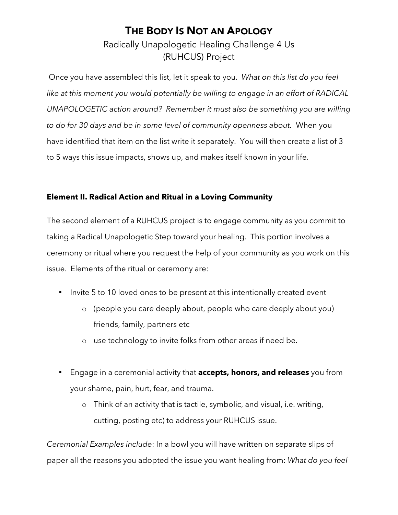### THE BODY IS NOT AN APOLOGY Radically Unapologetic Healing Challenge 4 Us (RUHCUS) Project

 Once you have assembled this list, let it speak to you. *What on this list do you feel like at this moment you would potentially be willing to engage in an effort of RADICAL UNAPOLOGETIC action around? Remember it must also be something you are willing to do for 30 days and be in some level of community openness about.* When you have identified that item on the list write it separately. You will then create a list of 3 to 5 ways this issue impacts, shows up, and makes itself known in your life.

#### **Element II. Radical Action and Ritual in a Loving Community**

The second element of a RUHCUS project is to engage community as you commit to taking a Radical Unapologetic Step toward your healing. This portion involves a ceremony or ritual where you request the help of your community as you work on this issue. Elements of the ritual or ceremony are:

- Invite 5 to 10 loved ones to be present at this intentionally created event
	- o (people you care deeply about, people who care deeply about you) friends, family, partners etc
	- o use technology to invite folks from other areas if need be.
- Engage in a ceremonial activity that **accepts, honors, and releases** you from your shame, pain, hurt, fear, and trauma.
	- o Think of an activity that is tactile, symbolic, and visual, i.e. writing, cutting, posting etc) to address your RUHCUS issue.

*Ceremonial Examples include*: In a bowl you will have written on separate slips of paper all the reasons you adopted the issue you want healing from: *What do you feel*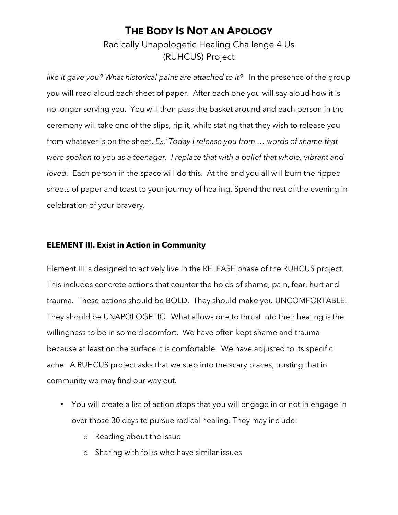### THE BODY IS NOT AN APOLOGY Radically Unapologetic Healing Challenge 4 Us

(RUHCUS) Project

*like it gave you? What historical pains are attached to it?* In the presence of the group you will read aloud each sheet of paper. After each one you will say aloud how it is no longer serving you. You will then pass the basket around and each person in the ceremony will take one of the slips, rip it, while stating that they wish to release you from whatever is on the sheet. *Ex."Today I release you from … words of shame that were spoken to you as a teenager. I replace that with a belief that whole, vibrant and loved.* Each person in the space will do this. At the end you all will burn the ripped sheets of paper and toast to your journey of healing. Spend the rest of the evening in celebration of your bravery.

### **ELEMENT III. Exist in Action in Community**

Element III is designed to actively live in the RELEASE phase of the RUHCUS project. This includes concrete actions that counter the holds of shame, pain, fear, hurt and trauma. These actions should be BOLD. They should make you UNCOMFORTABLE. They should be UNAPOLOGETIC. What allows one to thrust into their healing is the willingness to be in some discomfort. We have often kept shame and trauma because at least on the surface it is comfortable. We have adjusted to its specific ache. A RUHCUS project asks that we step into the scary places, trusting that in community we may find our way out.

- You will create a list of action steps that you will engage in or not in engage in over those 30 days to pursue radical healing. They may include:
	- o Reading about the issue
	- o Sharing with folks who have similar issues